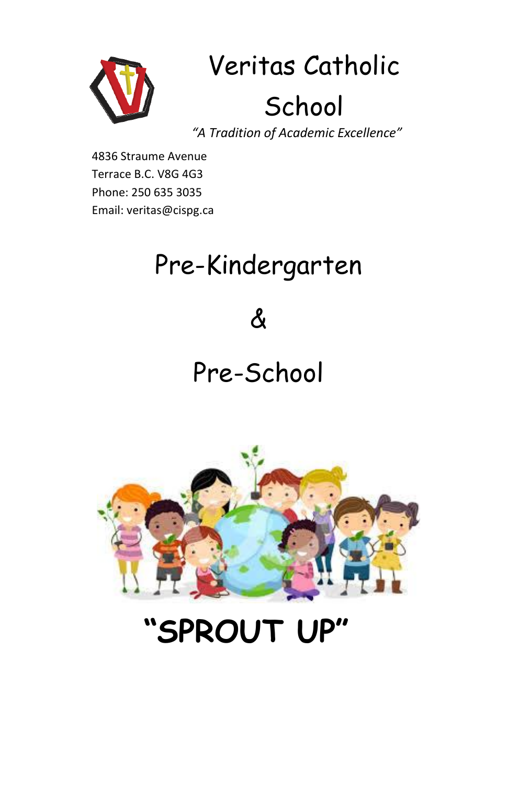

# Veritas Catholic School

*"A Tradition of Academic Excellence"*

4836 Straume Avenue Terrace B.C. V8G 4G3 Phone: 250 635 3035 Email: veritas@cispg.ca

#### Pre-Kindergarten

 $\boldsymbol{\mathcal{S}}$ 

Pre-School



## **"SPROUT UP"**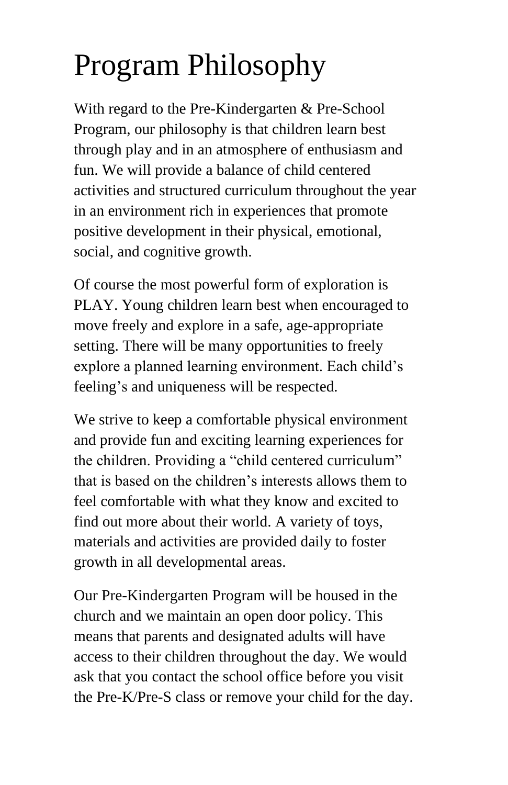# Program Philosophy

With regard to the Pre-Kindergarten & Pre-School Program, our philosophy is that children learn best through play and in an atmosphere of enthusiasm and fun. We will provide a balance of child centered activities and structured curriculum throughout the year in an environment rich in experiences that promote positive development in their physical, emotional, social, and cognitive growth.

Of course the most powerful form of exploration is PLAY. Young children learn best when encouraged to move freely and explore in a safe, age-appropriate setting. There will be many opportunities to freely explore a planned learning environment. Each child's feeling's and uniqueness will be respected.

We strive to keep a comfortable physical environment and provide fun and exciting learning experiences for the children. Providing a "child centered curriculum" that is based on the children's interests allows them to feel comfortable with what they know and excited to find out more about their world. A variety of toys, materials and activities are provided daily to foster growth in all developmental areas.

Our Pre-Kindergarten Program will be housed in the church and we maintain an open door policy. This means that parents and designated adults will have access to their children throughout the day. We would ask that you contact the school office before you visit the Pre-K/Pre-S class or remove your child for the day.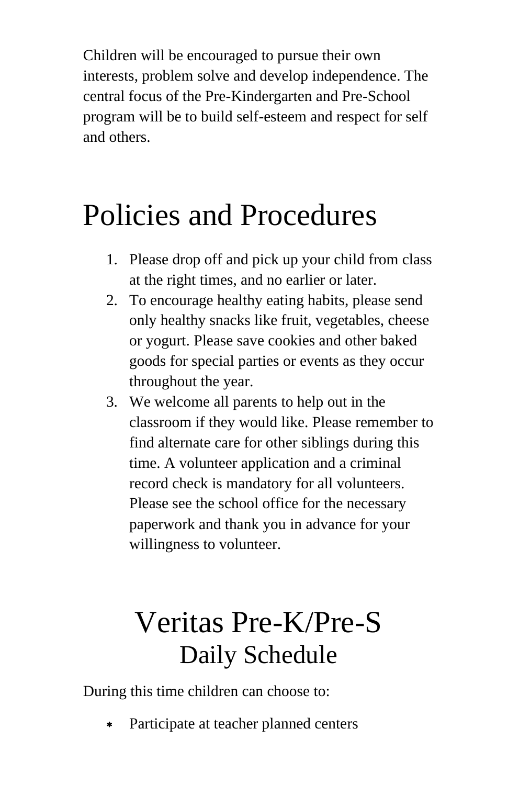Children will be encouraged to pursue their own interests, problem solve and develop independence. The central focus of the Pre-Kindergarten and Pre-School program will be to build self-esteem and respect for self and others.

#### Policies and Procedures

- 1. Please drop off and pick up your child from class at the right times, and no earlier or later.
- 2. To encourage healthy eating habits, please send only healthy snacks like fruit, vegetables, cheese or yogurt. Please save cookies and other baked goods for special parties or events as they occur throughout the year.
- 3. We welcome all parents to help out in the classroom if they would like. Please remember to find alternate care for other siblings during this time. A volunteer application and a criminal record check is mandatory for all volunteers. Please see the school office for the necessary paperwork and thank you in advance for your willingness to volunteer.

#### Veritas Pre-K/Pre-S Daily Schedule

During this time children can choose to:

Participate at teacher planned centers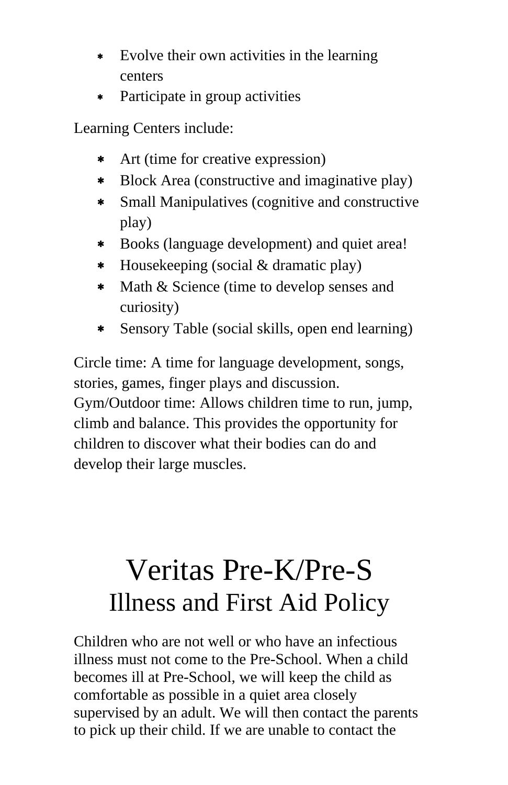- Evolve their own activities in the learning centers
- Participate in group activities

Learning Centers include:

- Art (time for creative expression)
- Block Area (constructive and imaginative play)
- Small Manipulatives (cognitive and constructive play)
- Books (language development) and quiet area!
- Housekeeping (social & dramatic play)
- \* Math & Science (time to develop senses and curiosity)
- Sensory Table (social skills, open end learning)

Circle time: A time for language development, songs, stories, games, finger plays and discussion. Gym/Outdoor time: Allows children time to run, jump, climb and balance. This provides the opportunity for children to discover what their bodies can do and develop their large muscles.

#### Veritas Pre-K/Pre-S Illness and First Aid Policy

Children who are not well or who have an infectious illness must not come to the Pre-School. When a child becomes ill at Pre-School, we will keep the child as comfortable as possible in a quiet area closely supervised by an adult. We will then contact the parents to pick up their child. If we are unable to contact the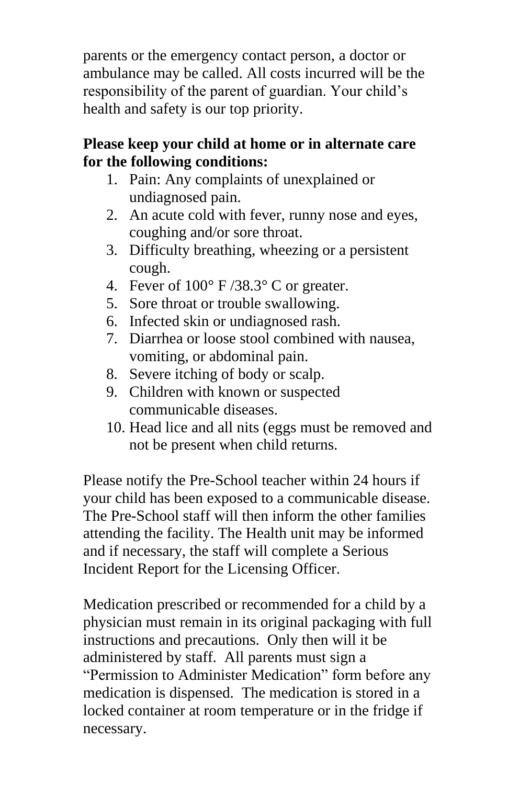parents or the emergency contact person, a doctor or ambulance may be called. All costs incurred will be the responsibility of the parent of guardian. Your child's health and safety is our top priority.

#### **Please keep your child at home or in alternate care for the following conditions:**

- 1. Pain: Any complaints of unexplained or undiagnosed pain.
- 2. An acute cold with fever, runny nose and eyes, coughing and/or sore throat.
- 3. Difficulty breathing, wheezing or a persistent cough.
- 4. Fever of 100° F /38.3° C or greater.
- 5. Sore throat or trouble swallowing.
- 6. Infected skin or undiagnosed rash.
- 7. Diarrhea or loose stool combined with nausea, vomiting, or abdominal pain.
- 8. Severe itching of body or scalp.
- 9. Children with known or suspected communicable diseases.
- 10. Head lice and all nits (eggs must be removed and not be present when child returns.

Please notify the Pre-School teacher within 24 hours if your child has been exposed to a communicable disease. The Pre-School staff will then inform the other families attending the facility. The Health unit may be informed and if necessary, the staff will complete a Serious Incident Report for the Licensing Officer.

Medication prescribed or recommended for a child by a physician must remain in its original packaging with full instructions and precautions. Only then will it be administered by staff. All parents must sign a "Permission to Administer Medication" form before any medication is dispensed. The medication is stored in a locked container at room temperature or in the fridge if necessary.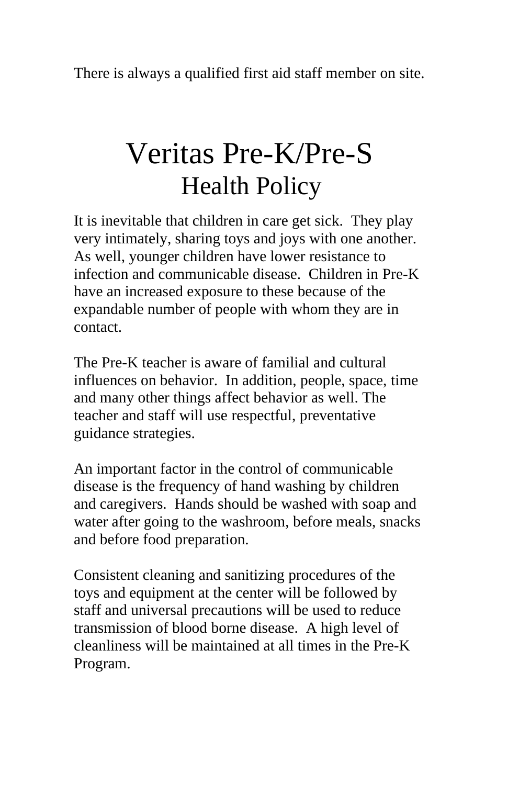There is always a qualified first aid staff member on site.

#### Veritas Pre-K/Pre-S Health Policy

It is inevitable that children in care get sick. They play very intimately, sharing toys and joys with one another. As well, younger children have lower resistance to infection and communicable disease. Children in Pre-K have an increased exposure to these because of the expandable number of people with whom they are in contact.

The Pre-K teacher is aware of familial and cultural influences on behavior. In addition, people, space, time and many other things affect behavior as well. The teacher and staff will use respectful, preventative guidance strategies.

An important factor in the control of communicable disease is the frequency of hand washing by children and caregivers. Hands should be washed with soap and water after going to the washroom, before meals, snacks and before food preparation.

Consistent cleaning and sanitizing procedures of the toys and equipment at the center will be followed by staff and universal precautions will be used to reduce transmission of blood borne disease. A high level of cleanliness will be maintained at all times in the Pre-K Program.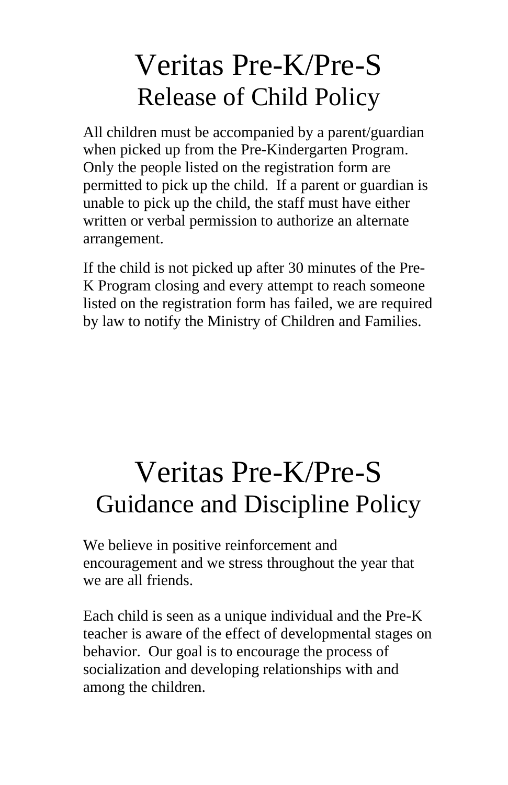#### Veritas Pre-K/Pre-S Release of Child Policy

All children must be accompanied by a parent/guardian when picked up from the Pre-Kindergarten Program. Only the people listed on the registration form are permitted to pick up the child. If a parent or guardian is unable to pick up the child, the staff must have either written or verbal permission to authorize an alternate arrangement.

If the child is not picked up after 30 minutes of the Pre-K Program closing and every attempt to reach someone listed on the registration form has failed, we are required by law to notify the Ministry of Children and Families.

#### Veritas Pre-K/Pre-S Guidance and Discipline Policy

We believe in positive reinforcement and encouragement and we stress throughout the year that we are all friends.

Each child is seen as a unique individual and the Pre-K teacher is aware of the effect of developmental stages on behavior. Our goal is to encourage the process of socialization and developing relationships with and among the children.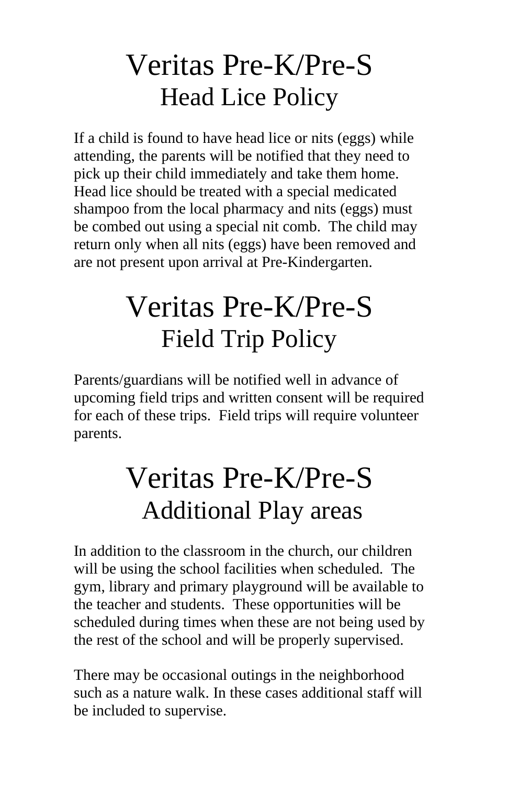#### Veritas Pre-K/Pre-S Head Lice Policy

If a child is found to have head lice or nits (eggs) while attending, the parents will be notified that they need to pick up their child immediately and take them home. Head lice should be treated with a special medicated shampoo from the local pharmacy and nits (eggs) must be combed out using a special nit comb. The child may return only when all nits (eggs) have been removed and are not present upon arrival at Pre-Kindergarten.

#### Veritas Pre-K/Pre-S Field Trip Policy

Parents/guardians will be notified well in advance of upcoming field trips and written consent will be required for each of these trips. Field trips will require volunteer parents.

### Veritas Pre-K/Pre-S Additional Play areas

In addition to the classroom in the church, our children will be using the school facilities when scheduled. The gym, library and primary playground will be available to the teacher and students. These opportunities will be scheduled during times when these are not being used by the rest of the school and will be properly supervised.

There may be occasional outings in the neighborhood such as a nature walk. In these cases additional staff will be included to supervise.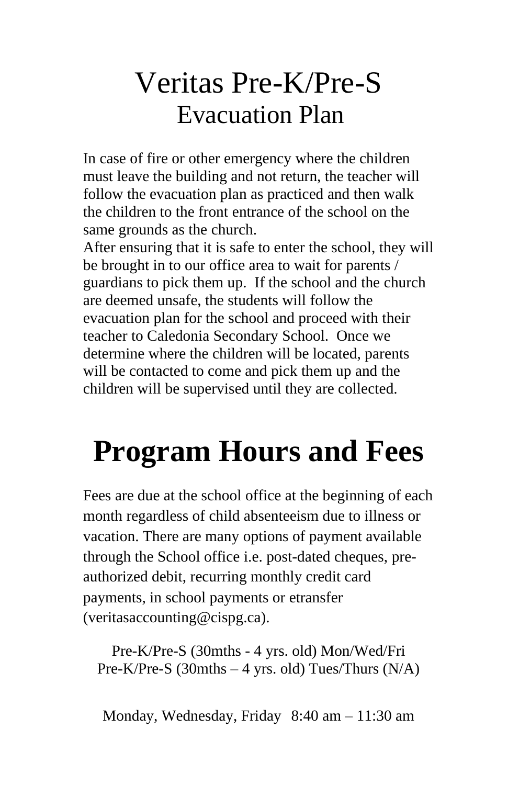#### Veritas Pre-K/Pre-S Evacuation Plan

In case of fire or other emergency where the children must leave the building and not return, the teacher will follow the evacuation plan as practiced and then walk the children to the front entrance of the school on the same grounds as the church.

After ensuring that it is safe to enter the school, they will be brought in to our office area to wait for parents / guardians to pick them up. If the school and the church are deemed unsafe, the students will follow the evacuation plan for the school and proceed with their teacher to Caledonia Secondary School. Once we determine where the children will be located, parents will be contacted to come and pick them up and the children will be supervised until they are collected.

# **Program Hours and Fees**

Fees are due at the school office at the beginning of each month regardless of child absenteeism due to illness or vacation. There are many options of payment available through the School office i.e. post-dated cheques, preauthorized debit, recurring monthly credit card payments, in school payments or etransfer (veritasaccounting@cispg.ca).

Pre-K/Pre-S (30mths - 4 yrs. old) Mon/Wed/Fri Pre-K/Pre-S (30mths – 4 yrs. old) Tues/Thurs (N/A)

Monday, Wednesday, Friday 8:40 am – 11:30 am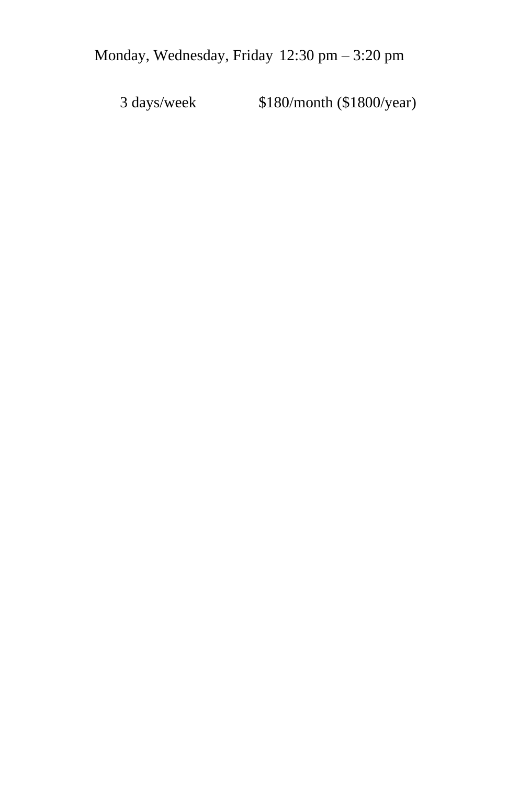3 days/week \$180/month (\$1800/year)